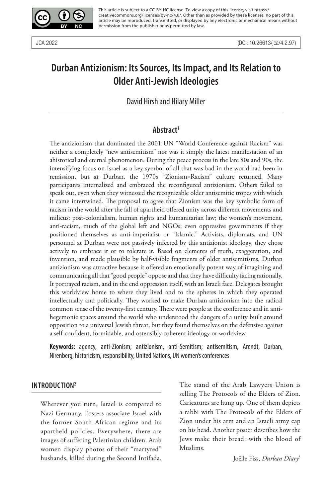

This article is subject to a CC-BY-NC license. To view a copy of this license, visit https:// creativecommons.org/licenses/by-nc/4.0/. Other than as provided by these licenses, no part of this article may be reproduced, transmitted, or displayed by any electronic or mechanical means without permission from the publisher or as permitted by law.

# **Durban Antizionism: Its Sources, Its Impact, and Its Relation to Older Anti-Jewish Ideologies**

David Hirsh and Hilary Miller

#### **Abstract1**

The antizionism that dominated the 2001 UN "World Conference against Racism" was neither a completely "new antisemitism" nor was it simply the latest manifestation of an ahistorical and eternal phenomenon. During the peace process in the late 80s and 90s, the intensifying focus on Israel as a key symbol of all that was bad in the world had been in remission, but at Durban, the 1970s "Zionism=Racism" culture returned. Many participants internalized and embraced the reconfigured antizionism. Others failed to speak out, even when they witnessed the recognizable older antisemitic tropes with which it came intertwined. The proposal to agree that Zionism was the key symbolic form of racism in the world after the fall of apartheid offered unity across different movements and milieus: post-colonialism, human rights and humanitarian law; the women's movement, anti-racism, much of the global left and NGOs; even oppressive governments if they positioned themselves as anti-imperialist or "Islamic." Activists, diplomats, and UN personnel at Durban were not passively infected by this antizionist ideology, they chose actively to embrace it or to tolerate it. Based on elements of truth, exaggeration, and invention, and made plausible by half-visible fragments of older antisemitisms, Durban antizionism was attractive because it offered an emotionally potent way of imagining and communicating all that "good people" oppose and that they have difficulty facing rationally. It portrayed racism, and in the end oppression itself, with an Israeli face. Delegates brought this worldview home to where they lived and to the spheres in which they operated intellectually and politically. They worked to make Durban antizionism into the radical common sense of the twenty-first century. There were people at the conference and in antihegemonic spaces around the world who understood the dangers of a unity built around opposition to a universal Jewish threat, but they found themselves on the defensive against a self-confident, formidable, and ostensibly coherent ideology or worldview.

**Keywords:** agency, anti-Zionism; antizionism, anti-Semitism; antisemitism, Arendt, Durban, Nirenberg, historicism, responsibility, United Nations, UN women's conferences

#### **INTRODUCTION2**

Wherever you turn, Israel is compared to Nazi Germany. Posters associate Israel with the former South African regime and its apartheid policies. Everywhere, there are images of suffering Palestinian children. Arab women display photos of their "martyred" husbands, killed during the Second Intifada.

The stand of the Arab Lawyers Union is selling The Protocols of the Elders of Zion. Caricatures are hung up. One of them depicts a rabbi with The Protocols of the Elders of Zion under his arm and an Israeli army cap on his head. Another poster describes how the Jews make their bread: with the blood of Muslims.

Joëlle Fiss, *Durban Diary*<sup>3</sup>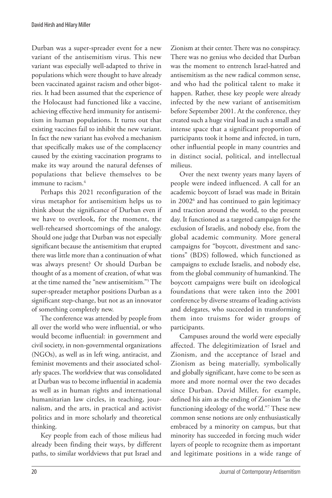Durban was a super-spreader event for a new variant of the antisemitism virus. This new variant was especially well-adapted to thrive in populations which were thought to have already been vaccinated against racism and other bigotries. It had been assumed that the experience of the Holocaust had functioned like a vaccine, achieving effective herd immunity for antisemitism in human populations. It turns out that existing vaccines fail to inhibit the new variant. In fact the new variant has evolved a mechanism that specifically makes use of the complacency caused by the existing vaccination programs to make its way around the natural defenses of populations that believe themselves to be immune to racism.4

Perhaps this 2021 reconfiguration of the virus metaphor for antisemitism helps us to think about the significance of Durban even if we have to overlook, for the moment, the well-rehearsed shortcomings of the analogy. Should one judge that Durban was not especially significant because the antisemitism that erupted there was little more than a continuation of what was always present? Or should Durban be thought of as a moment of creation, of what was at the time named the "new antisemitism."5 The super-spreader metaphor positions Durban as a significant step-change, but not as an innovator of something completely new.

The conference was attended by people from all over the world who were influential, or who would become influential: in government and civil society, in non-governmental organizations (NGOs), as well as in left wing, antiracist, and feminist movements and their associated scholarly spaces. The worldview that was consolidated at Durban was to become influential in academia as well as in human rights and international humanitarian law circles, in teaching, journalism, and the arts, in practical and activist politics and in more scholarly and theoretical thinking.

Key people from each of those milieus had already been finding their ways, by different paths, to similar worldviews that put Israel and Zionism at their center. There was no conspiracy. There was no genius who decided that Durban was the moment to entrench Israel-hatred and antisemitism as the new radical common sense, and who had the political talent to make it happen. Rather, these key people were already infected by the new variant of antisemitism before September 2001. At the conference, they created such a huge viral load in such a small and intense space that a significant proportion of participants took it home and infected, in turn, other influential people in many countries and in distinct social, political, and intellectual milieus.

Over the next twenty years many layers of people were indeed influenced. A call for an academic boycott of Israel was made in Britain in 20026 and has continued to gain legitimacy and traction around the world, to the present day. It functioned as a targeted campaign for the exclusion of Israelis, and nobody else, from the global academic community. More general campaigns for "boycott, divestment and sanctions" (BDS) followed, which functioned as campaigns to exclude Israelis, and nobody else, from the global community of humankind. The boycott campaigns were built on ideological foundations that were taken into the 2001 conference by diverse streams of leading activists and delegates, who succeeded in transforming them into truisms for wider groups of participants.

Campuses around the world were especially affected. The delegitimization of Israel and Zionism, and the acceptance of Israel and Zionism as being materially, symbolically and globally significant, have come to be seen as more and more normal over the two decades since Durban. David Miller, for example, defined his aim as the ending of Zionism "as the functioning ideology of the world."7 These new common sense notions are only enthusiastically embraced by a minority on campus, but that minority has succeeded in forcing much wider layers of people to recognize them as important and legitimate positions in a wide range of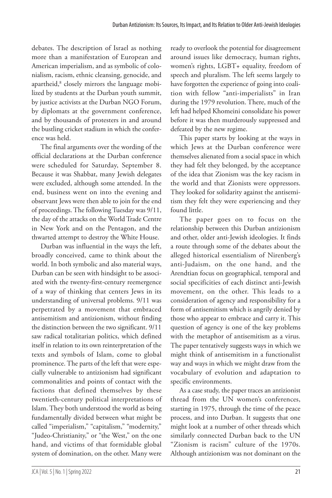debates. The description of Israel as nothing more than a manifestation of European and American imperialism, and as symbolic of colonialism, racism, ethnic cleansing, genocide, and apartheid,8 closely mirrors the language mobilized by students at the Durban youth summit, by justice activists at the Durban NGO Forum, by diplomats at the government conference, and by thousands of protesters in and around the bustling cricket stadium in which the conference was held.

The final arguments over the wording of the official declarations at the Durban conference were scheduled for Saturday, September 8. Because it was Shabbat, many Jewish delegates were excluded, although some attended. In the end, business went on into the evening and observant Jews were then able to join for the end of proceedings. The following Tuesday was 9/11, the day of the attacks on the World Trade Centre in New York and on the Pentagon, and the thwarted attempt to destroy the White House.

Durban was influential in the ways the left, broadly conceived, came to think about the world. In both symbolic and also material ways, Durban can be seen with hindsight to be associated with the twenty-first-century reemergence of a way of thinking that centers Jews in its understanding of universal problems. 9/11 was perpetrated by a movement that embraced antisemitism and antizionism, without finding the distinction between the two significant. 9/11 saw radical totalitarian politics, which defined itself in relation to its own reinterpretation of the texts and symbols of Islam, come to global prominence. The parts of the left that were especially vulnerable to antizionism had significant commonalities and points of contact with the factions that defined themselves by these twentieth-century political interpretations of Islam. They both understood the world as being fundamentally divided between what might be called "imperialism," "capitalism," "modernity," "Judeo-Christianity," or "the West," on the one hand, and victims of that formidable global system of domination, on the other. Many were ready to overlook the potential for disagreement around issues like democracy, human rights, women's rights, LGBT+ equality, freedom of speech and pluralism. The left seems largely to have forgotten the experience of going into coalition with fellow "anti-imperialists" in Iran during the 1979 revolution. There, much of the left had helped Khomeini consolidate his power before it was then murderously suppressed and defeated by the new regime.

This paper starts by looking at the ways in which Jews at the Durban conference were themselves alienated from a social space in which they had felt they belonged, by the acceptance of the idea that Zionism was the key racism in the world and that Zionists were oppressors. They looked for solidarity against the antisemitism they felt they were experiencing and they found little.

The paper goes on to focus on the relationship between this Durban antizionism and other, older anti-Jewish ideologies. It finds a route through some of the debates about the alleged historical essentialism of Nirenberg's anti-Judaism, on the one hand, and the Arendtian focus on geographical, temporal and social specificities of each distinct anti-Jewish movement, on the other. This leads to a consideration of agency and responsibility for a form of antisemitism which is angrily denied by those who appear to embrace and carry it. This question of agency is one of the key problems with the metaphor of antisemitism as a virus. The paper tentatively suggests ways in which we might think of antisemitism in a functionalist way and ways in which we might draw from the vocabulary of evolution and adaptation to specific environments.

As a case study, the paper traces an antizionist thread from the UN women's conferences, starting in 1975, through the time of the peace process, and into Durban. It suggests that one might look at a number of other threads which similarly connected Durban back to the UN "Zionism is racism" culture of the 1970s. Although antizionism was not dominant on the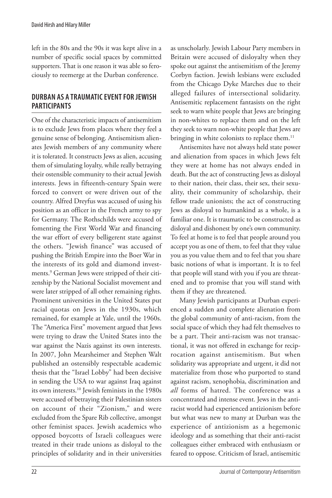left in the 80s and the 90s it was kept alive in a number of specific social spaces by committed supporters. That is one reason it was able so ferociously to reemerge at the Durban conference.

# **DURBAN AS A TRAUMATIC EVENT FOR JEWISH PARTICIPANTS**

One of the characteristic impacts of antisemitism is to exclude Jews from places where they feel a genuine sense of belonging. Antisemitism alienates Jewish members of any community where it is tolerated. It constructs Jews as alien, accusing them of simulating loyalty, while really betraying their ostensible community to their actual Jewish interests. Jews in fifteenth-century Spain were forced to convert or were driven out of the country. Alfred Dreyfus was accused of using his position as an officer in the French army to spy for Germany. The Rothschilds were accused of fomenting the First World War and financing the war effort of every belligerent state against the others. "Jewish finance" was accused of pushing the British Empire into the Boer War in the interests of its gold and diamond investments.9 German Jews were stripped of their citizenship by the National Socialist movement and were later stripped of all other remaining rights. Prominent universities in the United States put racial quotas on Jews in the 1930s, which remained, for example at Yale, until the 1960s. The "America First" movement argued that Jews were trying to draw the United States into the war against the Nazis against its own interests. In 2007, John Mearsheimer and Stephen Walt published an ostensibly respectable academic thesis that the "Israel Lobby" had been decisive in sending the USA to war against Iraq against its own interests.10 Jewish feminists in the 1980s were accused of betraying their Palestinian sisters on account of their "Zionism," and were excluded from the Spare Rib collective, amongst other feminist spaces. Jewish academics who opposed boycotts of Israeli colleagues were treated in their trade unions as disloyal to the principles of solidarity and in their universities as unscholarly. Jewish Labour Party members in Britain were accused of disloyalty when they spoke out against the antisemitism of the Jeremy Corbyn faction. Jewish lesbians were excluded from the Chicago Dyke Marches due to their alleged failures of intersectional solidarity. Antisemitic replacement fantasists on the right seek to warn white people that Jews are bringing in non-whites to replace them and on the left they seek to warn non-white people that Jews are bringing in white colonists to replace them.<sup>11</sup>

Antisemites have not always held state power and alienation from spaces in which Jews felt they were at home has not always ended in death. But the act of constructing Jews as disloyal to their nation, their class, their sex, their sexuality, their community of scholarship, their fellow trade unionists; the act of constructing Jews as disloyal to humankind as a whole, is a familiar one. It is traumatic to be constructed as disloyal and dishonest by one's own community. To feel at home is to feel that people around you accept you as one of them, to feel that they value you as you value them and to feel that you share basic notions of what is important. It is to feel that people will stand with you if you are threatened and to promise that you will stand with them if they are threatened.

Many Jewish participants at Durban experienced a sudden and complete alienation from the global community of anti-racism, from the social space of which they had felt themselves to be a part. Their anti-racism was not transactional, it was not offered in exchange for reciprocation against antisemitism. But when solidarity was appropriate and urgent, it did not materialize from those who purported to stand against racism, xenophobia, discrimination and *all* forms of hatred. The conference was a concentrated and intense event. Jews in the antiracist world had experienced antizionism before but what was new to many at Durban was the experience of antizionism as a hegemonic ideology and as something that their anti-racist colleagues either embraced with enthusiasm or feared to oppose. Criticism of Israel, antisemitic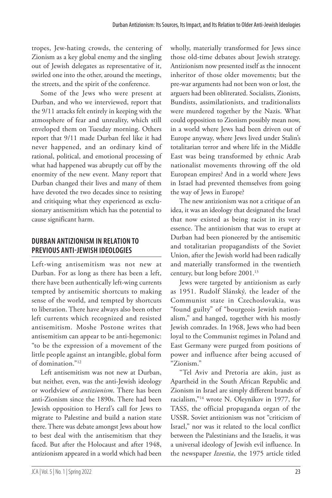tropes, Jew-hating crowds, the centering of Zionism as a key global enemy and the singling out of Jewish delegates as representative of it, swirled one into the other, around the meetings, the streets, and the spirit of the conference.

Some of the Jews who were present at Durban, and who we interviewed, report that the 9/11 attacks felt entirely in keeping with the atmosphere of fear and unreality, which still enveloped them on Tuesday morning. Others report that 9/11 made Durban feel like it had never happened, and an ordinary kind of rational, political, and emotional processing of what had happened was abruptly cut off by the enormity of the new event. Many report that Durban changed their lives and many of them have devoted the two decades since to resisting and critiquing what they experienced as exclusionary antisemitism which has the potential to cause significant harm.

# **DURBAN ANTIZIONISM IN RELATION TO PREVIOUS ANTI-JEWISH IDEOLOGIES**

Left-wing antisemitism was not new at Durban. For as long as there has been a left, there have been authentically left-wing currents tempted by antisemitic shortcuts to making sense of the world, and tempted by shortcuts to liberation. There have always also been other left currents which recognized and resisted antisemitism. Moshe Postone writes that antisemitism can appear to be anti-hegemonic: "to be the expression of a movement of the little people against an intangible, global form of domination."12

Left antisemitism was not new at Durban, but neither, even, was the anti-Jewish ideology or worldview of *antizionism*. There has been anti-Zionism since the 1890s. There had been Jewish opposition to Herzl's call for Jews to migrate to Palestine and build a nation state there. There was debate amongst Jews about how to best deal with the antisemitism that they faced. But after the Holocaust and after 1948, antizionism appeared in a world which had been wholly, materially transformed for Jews since those old-time debates about Jewish strategy. Antizionism now presented itself as the innocent inheritor of those older movements; but the pre-war arguments had not been won or lost, the arguers had been obliterated. Socialists, Zionists, Bundists, assimilationists, and traditionalists were murdered together by the Nazis. What could opposition to Zionism possibly mean now, in a world where Jews had been driven out of Europe anyway, where Jews lived under Stalin's totalitarian terror and where life in the Middle East was being transformed by ethnic Arab nationalist movements throwing off the old European empires? And in a world where Jews in Israel had prevented themselves from going the way of Jews in Europe?

The new antizionism was not a critique of an idea, it was an ideology that designated the Israel that now existed as being racist in its very essence. The antizionism that was to erupt at Durban had been pioneered by the antisemitic and totalitarian propagandists of the Soviet Union, after the Jewish world had been radically and materially transformed in the twentieth century, but long before 2001.13

Jews were targeted by antizionism as early as 1951. Rudolf Slánský, the leader of the Communist state in Czechoslovakia, was "found guilty" of "bourgeois Jewish nationalism," and hanged, together with his mostly Jewish comrades. In 1968, Jews who had been loyal to the Communist regimes in Poland and East Germany were purged from positions of power and influence after being accused of "Zionism."

"Tel Aviv and Pretoria are akin, just as Apartheid in the South African Republic and Zionism in Israel are simply different brands of racialism,"14 wrote N. Oleynikov in 1977, for TASS, the official propaganda organ of the USSR. Soviet antizionism was not "criticism of Israel," nor was it related to the local conflict between the Palestinians and the Israelis, it was a universal ideology of Jewish evil influence. In the newspaper *Izvestia*, the 1975 article titled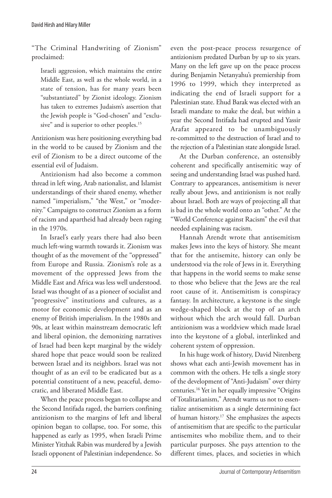"The Criminal Handwriting of Zionism" proclaimed:

Israeli aggression, which maintains the entire Middle East, as well as the whole world, in a state of tension, has for many years been "substantiated" by Zionist ideology. Zionism has taken to extremes Judaism's assertion that the Jewish people is "God-chosen" and "exclusive" and is superior to other peoples.<sup>15</sup>

Antizionism was here positioning everything bad in the world to be caused by Zionism and the evil of Zionism to be a direct outcome of the essential evil of Judaism.

Antizionism had also become a common thread in left wing, Arab nationalist, and Islamist understandings of their shared enemy, whether named "imperialism," "the West," or "modernity." Campaigns to construct Zionism as a form of racism and apartheid had already been raging in the 1970s.

In Israel's early years there had also been much left-wing warmth towards it. Zionism was thought of as the movement of the "oppressed" from Europe and Russia. Zionism's role as a movement of the oppressed Jews from the Middle East and Africa was less well understood. Israel was thought of as a pioneer of socialist and "progressive" institutions and cultures, as a motor for economic development and as an enemy of British imperialism. In the 1980s and 90s, at least within mainstream democratic left and liberal opinion, the demonizing narratives of Israel had been kept marginal by the widely shared hope that peace would soon be realized between Israel and its neighbors. Israel was not thought of as an evil to be eradicated but as a potential constituent of a new, peaceful, democratic, and liberated Middle East.

When the peace process began to collapse and the Second Intifada raged, the barriers confining antizionism to the margins of left and liberal opinion began to collapse, too. For some, this happened as early as 1995, when Israeli Prime Minister Yitzhak Rabin was murdered by a Jewish Israeli opponent of Palestinian independence. So even the post-peace process resurgence of antizionism predated Durban by up to six years. Many on the left gave up on the peace process during Benjamin Netanyahu's premiership from 1996 to 1999, which they interpreted as indicating the end of Israeli support for a Palestinian state. Ehud Barak was elected with an Israeli mandate to make the deal, but within a year the Second Intifada had erupted and Yassir Arafat appeared to be unambiguously re-committed to the destruction of Israel and to the rejection of a Palestinian state alongside Israel.

At the Durban conference, an ostensibly coherent and specifically antisemitic way of seeing and understanding Israel was pushed hard. Contrary to appearances, antisemitism is never really about Jews, and antizionism is not really about Israel. Both are ways of projecting all that is bad in the whole world onto an "other." At the "World Conference against Racism" the evil that needed explaining was racism.

Hannah Arendt wrote that antisemitism makes Jews into the keys of history. She meant that for the antisemite, history can only be understood via the role of Jews in it. Everything that happens in the world seems to make sense to those who believe that the Jews are the real root cause of it. Antisemitism is conspiracy fantasy. In architecture, a keystone is the single wedge-shaped block at the top of an arch without which the arch would fall. Durban antizionism was a worldview which made Israel into the keystone of a global, interlinked and coherent system of oppression.

In his huge work of history, David Nirenberg shows what each anti-Jewish movement has in common with the others. He tells a single story of the development of "Anti-Judaism" over thirty centuries.16 Yet in her equally impressive "Origins of Totalitarianism," Arendt warns us not to essentialize antisemitism as a single determining fact of human history.17 She emphasizes the aspects of antisemitism that are specific to the particular antisemites who mobilize them, and to their particular purposes. She pays attention to the different times, places, and societies in which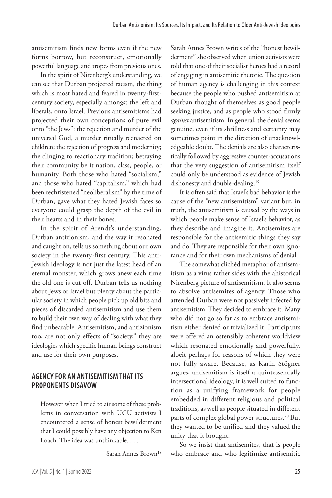antisemitism finds new forms even if the new forms borrow, but reconstruct, emotionally powerful language and tropes from previous ones.

In the spirit of Nirenberg's understanding, we can see that Durban projected racism, the thing which is most hated and feared in twenty-firstcentury society, especially amongst the left and liberals, onto Israel. Previous antisemitisms had projected their own conceptions of pure evil onto "the Jews": the rejection and murder of the universal God, a murder ritually reenacted on children; the rejection of progress and modernity; the clinging to reactionary tradition; betraying their community be it nation, class, people, or humanity. Both those who hated "socialism," and those who hated "capitalism," which had been rechristened "neoliberalism" by the time of Durban, gave what they hated Jewish faces so everyone could grasp the depth of the evil in their hearts and in their bones.

In the spirit of Arendt's understanding, Durban antizionism, and the way it resonated and caught on, tells us something about our own society in the twenty-first century. This anti-Jewish ideology is not just the latest head of an eternal monster, which grows anew each time the old one is cut off. Durban tells us nothing about Jews or Israel but plenty about the particular society in which people pick up old bits and pieces of discarded antisemitism and use them to build their own way of dealing with what they find unbearable. Antisemitism, and antizionism too, are not only effects of "society," they are ideologies which specific human beings construct and use for their own purposes.

## **AGENCY FOR AN ANTISEMITISM THAT ITS PROPONENTS DISAVOW**

However when I tried to air some of these problems in conversation with UCU activists I encountered a sense of honest bewilderment that I could possibly have any objection to Ken Loach. The idea was unthinkable. . . .

Sarah Annes Brown18

Sarah Annes Brown writes of the "honest bewilderment" she observed when union activists were told that one of their socialist heroes had a record of engaging in antisemitic rhetoric. The question of human agency is challenging in this context because the people who pushed antisemitism at Durban thought of themselves as good people seeking justice, and as people who stood firmly *against* antisemitism. In general, the denial seems genuine, even if its shrillness and certainty may sometimes point in the direction of unacknowledgeable doubt. The denials are also characteristically followed by aggressive counter-accusations that the very suggestion of antisemitism itself could only be understood as evidence of Jewish dishonesty and double-dealing.<sup>19</sup>

It is often said that Israel's bad behavior is the cause of the "new antisemitism" variant but, in truth, the antisemitism is caused by the ways in which people make sense of Israel's behavior, as they describe and imagine it. Antisemites are responsible for the antisemitic things they say and do. They are responsible for their own ignorance and for their own mechanisms of denial.

The somewhat clichéd metaphor of antisemitism as a virus rather sides with the ahistorical Nirenberg picture of antisemitism. It also seems to absolve antisemites of agency. Those who attended Durban were not passively infected by antisemitism. They decided to embrace it. Many who did not go so far as to embrace antisemitism either denied or trivialized it. Participants were offered an ostensibly coherent worldview which resonated emotionally and powerfully, albeit perhaps for reasons of which they were not fully aware. Because, as Karin Stögner argues, antisemitism is itself a quintessentially intersectional ideology, it is well suited to function as a unifying framework for people embedded in different religious and political traditions, as well as people situated in different parts of complex global power structures.<sup>20</sup> But they wanted to be unified and they valued the unity that it brought.

So we insist that antisemites, that is people who embrace and who legitimize antisemitic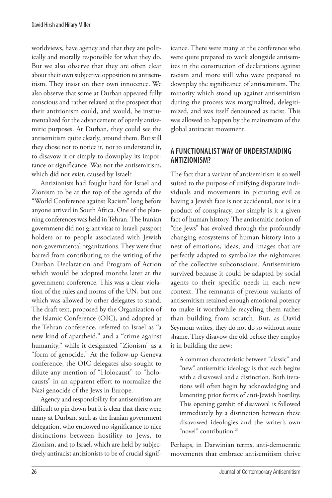worldviews, have agency and that they are politically and morally responsible for what they do. But we also observe that they are often clear about their own subjective opposition to antisemitism. They insist on their own innocence. We also observe that some at Durban appeared fully conscious and rather relaxed at the prospect that their antizionism could, and would, be instrumentalized for the advancement of openly antisemitic purposes. At Durban, they could see the antisemitism quite clearly, around them. But still they chose not to notice it, not to understand it, to disavow it or simply to downplay its importance or significance. Was not the antisemitism, which did not exist, caused by Israel?

Antizionists had fought hard for Israel and Zionism to be at the top of the agenda of the "World Conference against Racism" long before anyone arrived in South Africa. One of the planning conferences was held in Tehran. The Iranian government did not grant visas to Israeli passport holders or to people associated with Jewish non-governmental organizations. They were thus barred from contributing to the writing of the Durban Declaration and Program of Action which would be adopted months later at the government conference. This was a clear violation of the rules and norms of the UN, but one which was allowed by other delegates to stand. The draft text, proposed by the Organization of the Islamic Conference (OIC), and adopted at the Tehran conference, referred to Israel as "a new kind of apartheid," and a "crime against humanity," while it designated "Zionism" as a "form of genocide." At the follow-up Geneva conference, the OIC delegates also sought to dilute any mention of "Holocaust" to "holocausts" in an apparent effort to normalize the Nazi genocide of the Jews in Europe.

Agency and responsibility for antisemitism are difficult to pin down but it is clear that there were many at Durban, such as the Iranian government delegation, who endowed no significance to nice distinctions between hostility to Jews, to Zionism, and to Israel, which are held by subjectively antiracist antizionists to be of crucial significance. There were many at the conference who were quite prepared to work alongside antisemites in the construction of declarations against racism and more still who were prepared to downplay the significance of antisemitism. The minority which stood up against antisemitism during the process was marginalized, delegitimized, and was itself denounced as racist. This was allowed to happen by the mainstream of the global antiracist movement.

# **A FUNCTIONALIST WAY OF UNDERSTANDING ANTIZIONISM?**

The fact that a variant of antisemitism is so well suited to the purpose of unifying disparate individuals and movements in picturing evil as having a Jewish face is not accidental, nor is it a product of conspiracy, nor simply is it a given fact of human history. The antisemitic notion of "the Jews" has evolved through the profoundly changing ecosystems of human history into a nest of emotions, ideas, and images that are perfectly adapted to symbolize the nightmares of the collective subconscious. Antisemitism survived because it could be adapted by social agents to their specific needs in each new context. The remnants of previous variants of antisemitism retained enough emotional potency to make it worthwhile recycling them rather than building from scratch. But, as David Seymour writes, they do not do so without some shame. They disavow the old before they employ it in building the new:

A common characteristic between "classic" and "new" antisemitic ideology is that each begins with a disavowal and a distinction. Both iterations will often begin by acknowledging and lamenting prior forms of anti-Jewish hostility. This opening gambit of disavowal is followed immediately by a distinction between these disavowed ideologies and the writer's own "novel" contribution.<sup>21</sup>

Perhaps, in Darwinian terms, anti-democratic movements that embrace antisemitism thrive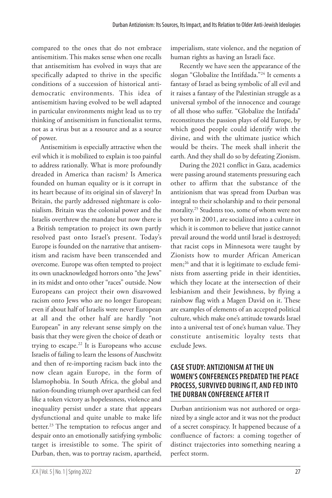compared to the ones that do not embrace antisemitism. This makes sense when one recalls that antisemitism has evolved in ways that are specifically adapted to thrive in the specific conditions of a succession of historical antidemocratic environments. This idea of antisemitism having evolved to be well adapted in particular environments might lead us to try thinking of antisemitism in functionalist terms, not as a virus but as a resource and as a source of power.

Antisemitism is especially attractive when the evil which it is mobilized to explain is too painful to address rationally. What is more profoundly dreaded in America than racism? Is America founded on human equality or is it corrupt in its heart because of its original sin of slavery? In Britain, the partly addressed nightmare is colonialism. Britain was the colonial power and the Israelis overthrew the mandate but now there is a British temptation to project its own partly resolved past onto Israel's present. Today's Europe is founded on the narrative that antisemitism and racism have been transcended and overcome. Europe was often tempted to project its own unacknowledged horrors onto "the Jews" in its midst and onto other "races" outside. Now Europeans can project their own disavowed racism onto Jews who are no longer European; even if about half of Israelis were never European at all and the other half are hardly "not European" in any relevant sense simply on the basis that they were given the choice of death or trying to escape. $22$  It is Europeans who accuse Israelis of failing to learn the lessons of Auschwitz and then of re-importing racism back into the now clean again Europe, in the form of Islamophobia. In South Africa, the global and nation-founding triumph over apartheid can feel like a token victory as hopelessness, violence and inequality persist under a state that appears dysfunctional and quite unable to make life better.<sup>23</sup> The temptation to refocus anger and despair onto an emotionally satisfying symbolic target is irresistible to some. The spirit of Durban, then, was to portray racism, apartheid,

imperialism, state violence, and the negation of human rights as having an Israeli face.

Recently we have seen the appearance of the slogan "Globalize the Intifdada."24 It cements a fantasy of Israel as being symbolic of all evil and it raises a fantasy of the Palestinian struggle as a universal symbol of the innocence and courage of all those who suffer. "Globalize the Intifada" reconstitutes the passion plays of old Europe, by which good people could identify with the divine, and with the ultimate justice which would be theirs. The meek shall inherit the earth. And they shall do so by defeating Zionism.

During the 2021 conflict in Gaza, academics were passing around statements pressuring each other to affirm that the substance of the antizionism that was spread from Durban was integral to their scholarship and to their personal morality.25 Students too, some of whom were not yet born in 2001, are socialized into a culture in which it is common to believe that justice cannot prevail around the world until Israel is destroyed; that racist cops in Minnesota were taught by Zionists how to murder African American men;<sup>26</sup> and that it is legitimate to exclude feminists from asserting pride in their identities, which they locate at the intersection of their lesbianism and their Jewishness, by flying a rainbow flag with a Magen David on it. These are examples of elements of an accepted political culture, which make one's attitude towards Israel into a universal test of one's human value. They constitute antisemitic loyalty tests that exclude Jews.

## **CASE STUDY: ANTIZIONISM AT THE UN WOMEN'S CONFERENCES PREDATED THE PEACE PROCESS, SURVIVED DURING IT, AND FED INTO THE DURBAN CONFERENCE AFTER IT**

Durban antizionism was not authored or organized by a single actor and it was not the product of a secret conspiracy. It happened because of a confluence of factors: a coming together of distinct trajectories into something nearing a perfect storm.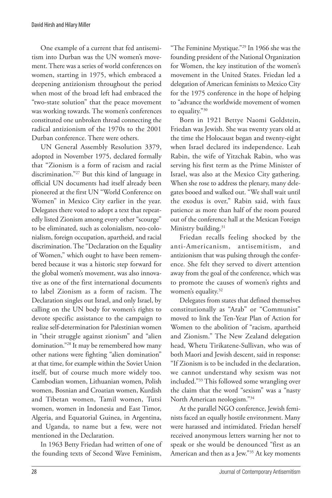One example of a current that fed antisemitism into Durban was the UN women's movement. There was a series of world conferences on women, starting in 1975, which embraced a deepening antizionism throughout the period when most of the broad left had embraced the "two-state solution" that the peace movement was working towards. The women's conferences constituted one unbroken thread connecting the radical antizionism of the 1970s to the 2001 Durban conference. There were others.

UN General Assembly Resolution 3379, adopted in November 1975, declared formally that "Zionism is a form of racism and racial discrimination."27 But this kind of language in official UN documents had itself already been pioneered at the first UN "World Conference on Women" in Mexico City earlier in the year. Delegates there voted to adopt a text that repeatedly listed Zionism among every other "scourge" to be eliminated, such as colonialism, neo-colonialism, foreign occupation, apartheid, and racial discrimination. The "Declaration on the Equality of Women," which ought to have been remembered because it was a historic step forward for the global women's movement, was also innovative as one of the first international documents to label Zionism as a form of racism. The Declaration singles out Israel, and only Israel, by calling on the UN body for women's rights to devote specific assistance to the campaign to realize self-determination for Palestinian women in "their struggle against zionism" and "alien domination."28 It may be remembered how many other nations were fighting "alien domination" at that time, for example within the Soviet Union itself, but of course much more widely too. Cambodian women, Lithuanian women, Polish women, Bosnian and Croatian women, Kurdish and Tibetan women, Tamil women, Tutsi women, women in Indonesia and East Timor, Algeria, and Equatorial Guinea, in Argentina, and Uganda, to name but a few, were not mentioned in the Declaration.

In 1963 Betty Friedan had written of one of the founding texts of Second Wave Feminism, "The Feminine Mystique."29 In 1966 she was the founding president of the National Organization for Women, the key institution of the women's movement in the United States. Friedan led a delegation of American feminists to Mexico City for the 1975 conference in the hope of helping to "advance the worldwide movement of women to equality."30

Born in 1921 Bettye Naomi Goldstein, Friedan was Jewish. She was twenty years old at the time the Holocaust began and twenty-eight when Israel declared its independence. Leah Rabin, the wife of Yitzchak Rabin, who was serving his first term as the Prime Minister of Israel, was also at the Mexico City gathering. When she rose to address the plenary, many delegates booed and walked out. "We shall wait until the exodus is over," Rabin said, with faux patience as more than half of the room poured out of the conference hall at the Mexican Foreign Ministry building.<sup>31</sup>

Friedan recalls feeling shocked by the anti-Americanism, antisemitism, and antizionism that was pulsing through the conference. She felt they served to divert attention away from the goal of the conference, which was to promote the causes of women's rights and women's equality.<sup>32</sup>

Delegates from states that defined themselves constitutionally as "Arab" or "Communist" moved to link the Ten-Year Plan of Action for Women to the abolition of "racism, apartheid and Zionism." The New Zealand delegation head, Whetu Tirikatene-Sullivan, who was of both Maori and Jewish descent, said in response: "If Zionism is to be included in the declaration, we cannot understand why sexism was not included."33 This followed some wrangling over the claim that the word "sexism" was a "nasty North American neologism."34

At the parallel NGO conference, Jewish feminists faced an equally hostile environment. Many were harassed and intimidated. Friedan herself received anonymous letters warning her not to speak or she would be denounced "first as an American and then as a Jew."35 At key moments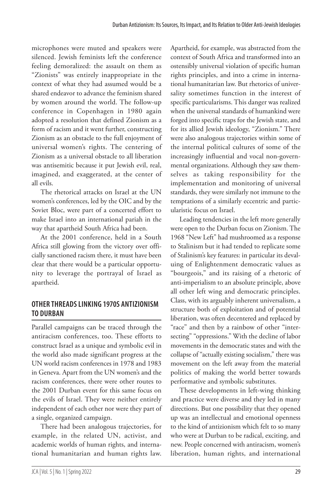microphones were muted and speakers were silenced. Jewish feminists left the conference feeling demoralized: the assault on them as "Zionists" was entirely inappropriate in the context of what they had assumed would be a shared endeavor to advance the feminism shared by women around the world. The follow-up conference in Copenhagen in 1980 again adopted a resolution that defined Zionism as a form of racism and it went further, constructing Zionism as an obstacle to the full enjoyment of universal women's rights. The centering of Zionism as a universal obstacle to all liberation was antisemitic because it put Jewish evil, real, imagined, and exaggerated, at the center of all evils.

The rhetorical attacks on Israel at the UN women's conferences, led by the OIC and by the Soviet Bloc, were part of a concerted effort to make Israel into an international pariah in the way that apartheid South Africa had been.

At the 2001 conference, held in a South Africa still glowing from the victory over officially sanctioned racism there, it must have been clear that there would be a particular opportunity to leverage the portrayal of Israel as apartheid.

# **OTHER THREADS LINKING 1970S ANTIZIONISM TO DURBAN**

Parallel campaigns can be traced through the antiracism conferences, too. These efforts to construct Israel as a unique and symbolic evil in the world also made significant progress at the UN world racism conferences in 1978 and 1983 in Geneva. Apart from the UN women's and the racism conferences, there were other routes to the 2001 Durban event for this same focus on the evils of Israel. They were neither entirely independent of each other nor were they part of a single, organized campaign.

There had been analogous trajectories, for example, in the related UN, activist, and academic worlds of human rights, and international humanitarian and human rights law. Apartheid, for example, was abstracted from the context of South Africa and transformed into an ostensibly universal violation of specific human rights principles, and into a crime in international humanitarian law. But rhetorics of universality sometimes function in the interest of specific particularisms. This danger was realized when the universal standards of humankind were forged into specific traps for the Jewish state, and for its allied Jewish ideology, "Zionism." There were also analogous trajectories within some of the internal political cultures of some of the increasingly influential and vocal non-governmental organizations. Although they saw themselves as taking responsibility for the implementation and monitoring of universal standards, they were similarly not immune to the temptations of a similarly eccentric and particularistic focus on Israel.

Leading tendencies in the left more generally were open to the Durban focus on Zionism. The 1968 "New Left" had mushroomed as a response to Stalinism but it had tended to replicate some of Stalinism's key features: in particular its devaluing of Enlightenment democratic values as "bourgeois," and its raising of a rhetoric of anti-imperialism to an absolute principle, above all other left wing and democratic principles. Class, with its arguably inherent universalism, a structure both of exploitation and of potential liberation, was often decentered and replaced by "race" and then by a rainbow of other "intersecting" "oppressions." With the decline of labor movements in the democratic states and with the collapse of "actually existing socialism," there was movement on the left away from the material politics of making the world better towards performative and symbolic substitutes.

These developments in left-wing thinking and practice were diverse and they led in many directions. But one possibility that they opened up was an intellectual and emotional openness to the kind of antizionism which felt to so many who were at Durban to be radical, exciting, and new. People concerned with antiracism, women's liberation, human rights, and international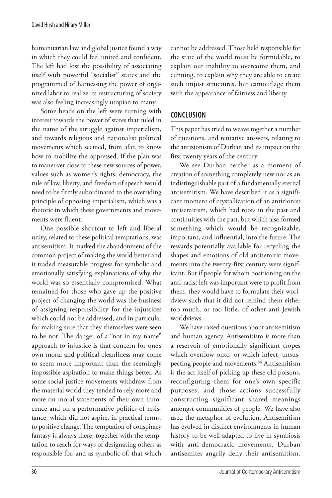humanitarian law and global justice found a way in which they could feel united and confident. The left had lost the possibility of associating itself with powerful "socialist" states and the programmed of harnessing the power of organized labor to realize its restructuring of society was also feeling increasingly utopian to many.

Some heads on the left were turning with interest towards the power of states that ruled in the name of the struggle against imperialism, and towards religious and nationalist political movements which seemed, from afar, to know how to mobilize the oppressed. If the plan was to maneuver close to these new sources of power, values such as women's rights, democracy, the rule of law, liberty, and freedom of speech would need to be firmly subordinated to the overriding principle of opposing imperialism, which was a rhetoric in which these governments and movements were fluent.

One possible shortcut to left and liberal unity, related to these political temptations, was antisemitism. It marked the abandonment of the common project of making the world better and it traded measurable progress for symbolic and emotionally satisfying explanations of why the world was so essentially compromised. What remained for those who gave up the positive project of changing the world was the business of assigning responsibility for the injustices which could not be addressed, and in particular for making sure that they themselves were seen to be not. The danger of a "not in my name" approach to injustice is that concern for one's own moral and political cleanliness may come to seem more important than the seemingly impossible aspiration to make things better. As some social justice movements withdraw from the material world they tended to rely more and more on moral statements of their own innocence and on a performative politics of resistance, which did not aspire, in practical terms, to positive change. The temptation of conspiracy fantasy is always there, together with the temptation to reach for ways of designating others as responsible for, and as symbolic of, that which cannot be addressed. Those held responsible for the state of the world must be formidable, to explain our inability to overcome them, and cunning, to explain why they are able to create such unjust structures, but camouflage them with the appearance of fairness and liberty.

### **CONCLUSION**

This paper has tried to weave together a number of questions, and tentative answers, relating to the antizionism of Durban and its impact on the first twenty years of the century.

We see Durban neither as a moment of creation of something completely new nor as an indistinguishable part of a fundamentally eternal antisemitism. We have described it as a significant moment of crystallization of an antizionist antisemitism, which had roots in the past and continuities with the past, but which also formed something which would be recognizable, important, and influential, into the future. The rewards potentially available for recycling the shapes and emotions of old antisemitic movements into the twenty-first century were significant. But if people for whom positioning on the anti-racist left was important were to profit from them, they would have to formulate their worldview such that it did not remind them either too much, or too little, of other anti-Jewish worldviews.

We have raised questions about antisemitism and human agency. Antisemitism is more than a reservoir of emotionally significant tropes which overflow onto, or which infect, unsuspecting people and movements.<sup>36</sup> Antisemitism is the act itself of picking up these old poisons, reconfiguring them for one's own specific purposes, and those actions successfully constructing significant shared meanings amongst communities of people. We have also used the metaphor of evolution. Antisemitism has evolved in distinct environments in human history to be well-adapted to live in symbiosis with anti-democratic movements. Durban antisemites angrily deny their antisemitism.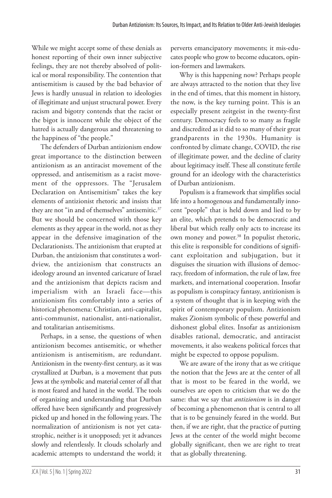While we might accept some of these denials as honest reporting of their own inner subjective feelings, they are not thereby absolved of political or moral responsibility. The contention that antisemitism is caused by the bad behavior of Jews is hardly unusual in relation to ideologies of illegitimate and unjust structural power. Every racism and bigotry contends that the racist or the bigot is innocent while the object of the hatred is actually dangerous and threatening to the happiness of "the people."

The defenders of Durban antizionism endow great importance to the distinction between antizionism as an antiracist movement of the oppressed, and antisemitism as a racist movement of the oppressors. The "Jerusalem Declaration on Antisemitism" takes the key elements of antizionist rhetoric and insists that they are not "in and of themselves" antisemitic.<sup>37</sup> But we should be concerned with those key elements as they appear in the world, not as they appear in the defensive imagination of the Declarationists. The antizionism that erupted at Durban, the antizionism that constitutes a worldview, the antizionism that constructs an ideology around an invented caricature of Israel and the antizionism that depicts racism and imperialism with an Israeli face—this antizionism fits comfortably into a series of historical phenomena: Christian, anti-capitalist, anti-communist, nationalist, anti-nationalist, and totalitarian antisemitisms.

Perhaps, in a sense, the questions of when antizionism becomes antisemitic, or whether antizionism is antisemitism, are redundant. Antizionism in the twenty-first century, as it was crystallized at Durban, is a movement that puts Jews at the symbolic and material center of all that is most feared and hated in the world. The tools of organizing and understanding that Durban offered have been significantly and progressively picked up and honed in the following years. The normalization of antizionism is not yet catastrophic, neither is it unopposed; yet it advances slowly and relentlessly. It clouds scholarly and academic attempts to understand the world; it perverts emancipatory movements; it mis-educates people who grow to become educators, opinion-formers and lawmakers.

Why is this happening now? Perhaps people are always attracted to the notion that they live in the end of times, that this moment in history, the now, is the key turning point. This is an especially present zeitgeist in the twenty-first century. Democracy feels to so many as fragile and discredited as it did to so many of their great grandparents in the 1930s. Humanity is confronted by climate change, COVID, the rise of illegitimate power, and the decline of clarity about legitimacy itself. These all constitute fertile ground for an ideology with the characteristics of Durban antizionism.

Populism is a framework that simplifies social life into a homogenous and fundamentally innocent "people" that is held down and lied to by an elite, which pretends to be democratic and liberal but which really only acts to increase its own money and power.<sup>38</sup> In populist rhetoric, this elite is responsible for conditions of significant exploitation and subjugation, but it disguises the situation with illusions of democracy, freedom of information, the rule of law, free markets, and international cooperation. Insofar as populism is conspiracy fantasy, antizionism is a system of thought that is in keeping with the spirit of contemporary populism. Antizionism makes Zionism symbolic of these powerful and dishonest global elites. Insofar as antizionism disables rational, democratic, and antiracist movements, it also weakens political forces that might be expected to oppose populism.

We are aware of the irony that as we critique the notion that the Jews are at the center of all that is most to be feared in the world, we ourselves are open to criticism that we do the same: that we say that *antizionism* is in danger of becoming a phenomenon that is central to all that is to be genuinely feared in the world. But then, if we are right, that the practice of putting Jews at the center of the world might become globally significant, then we are right to treat that as globally threatening.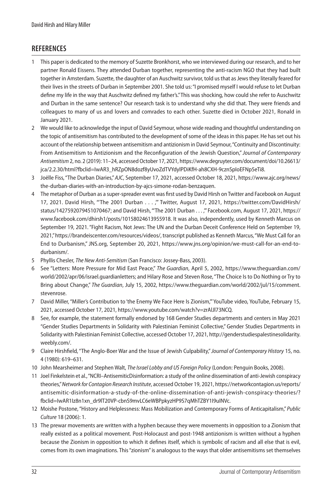### **REFERENCES**

- 1 This paper is dedicated to the memory of Suzette Bronkhorst, who we interviewed during our research, and to her partner Ronald Eissens. They attended Durban together, representing the anti-racism NGO that they had built together in Amsterdam. Suzette, the daughter of an Auschwitz survivor, told us that as Jews they literally feared for their lives in the streets of Durban in September 2001. She told us: "I promised myself I would refuse to let Durban define my life in the way that Auschwitz defined my father's." This was shocking, how could she refer to Auschwitz and Durban in the same sentence? Our research task is to understand why she did that. They were friends and colleagues to many of us and lovers and comrades to each other. Suzette died in October 2021, Ronald in January 2021.
- 2 We would like to acknowledge the input of David Seymour, whose wide reading and thoughtful understanding on the topic of antisemitism has contributed to the development of some of the ideas in this paper. He has set out his account of the relationship between antisemitism and antizionism in David Seymour, "Continuity and Discontinuity: From Antisemitism to Antizionism and the Reconfiguration of the Jewish Question," *Journal of Contemporary Antisemitism* 2, no. 2 (2019): 11–24, accessed October 17, 2021, https://www.degruyter.com/document/doi/10.26613/ jca/2.2.30/html?fbclid=IwAR3\_hRZpON8dozf8yUvoZdTVYdylPDiKfH-ah8CXH-9cznSpIoEFNp5eTi8.
- 3 Joëlle Fiss, "The Durban Diaries," *AJC*, September 17, 2021, accessed October 18, 2021, [https://www.ajc.org/news/](https://www.ajc.org/news/the-durban-diaries-with-an-introduction-by-ajcs-simone-rodan-benzaquen) [the-durban-diaries-with-an-introduction-by-ajcs-simone-rodan-benzaquen](https://www.ajc.org/news/the-durban-diaries-with-an-introduction-by-ajcs-simone-rodan-benzaquen).
- 4 The metaphor of Durban as a super-spreader event was first used by David Hirsh on Twitter and Facebook on August 17, 2021. David Hirsh, "'The 2001 Durban . . . ,'" Twitter, August 17, 2021, [https://twitter.com/DavidHirsh/](https://twitter.com/DavidHirsh/status/1427592079451070467) [status/1427592079451070467](https://twitter.com/DavidHirsh/status/1427592079451070467); and David Hirsh, "'The 2001 Durban . . . ,'" Facebook.com, August 17, 2021, [https://](https://www.facebook.com/dhirsh1/posts/10158024613955918) [www.facebook.com/dhirsh1/posts/10158024613955918](https://www.facebook.com/dhirsh1/posts/10158024613955918). It was also, independently, used by Kenneth Marcus on September 19, 2021. "Fight Racism, Not Jews: The UN and the Durban Deceit Conference Held on September 19, 2021," [https://brandeiscenter.com/resources/videos/,](https://brandeiscenter.com/resources/videos/) transcript published as Kenneth Marcus, "We Must Call for an End to Durbanism," JNS.org, September 20, 2021, [https://www.jns.org/opinion/we-must-call-for-an-end-to](https://www.jns.org/opinion/we-must-call-for-an-end-to-durbanism/)[durbanism/.](https://www.jns.org/opinion/we-must-call-for-an-end-to-durbanism/)
- 5 Phyllis Chesler, *The New Anti-Semitism* (San Francisco: Jossey-Bass, 2003).
- 6 See "Letters: More Pressure for Mid East Peace," *The Guardian*, April 5, 2002, [https://www.theguardian.com/](https://www.theguardian.com/world/2002/apr/06/israel.guardianletters) [world/2002/apr/06/israel.guardianletters;](https://www.theguardian.com/world/2002/apr/06/israel.guardianletters) and Hilary Rose and Steven Rose, "The Choice Is to Do Nothing or Try to Bring about Change," *The Guardian*, July 15, 2002, [https://www.theguardian.com/world/2002/jul/15/comment.](https://www.theguardian.com/world/2002/jul/15/comment.stevenrose) [stevenrose](https://www.theguardian.com/world/2002/jul/15/comment.stevenrose).
- 7 David Miller, "Miller's Contribution to 'the Enemy We Face Here Is Zionism,'" YouTube video, YouTube, February 15, 2021, accessed October 17, 2021, <https://www.youtube.com/watch?v=zrAlJl73NCQ>.
- 8 See, for example, the statement formally endorsed by 168 Gender Studies departments and centers in May 2021 "Gender Studies Departments in Solidarity with Palestinian Feminist Collective," Gender Studies Departments in Solidarity with Palestinian Feminist Collective, accessed October 17, 2021, [http://genderstudiespalestinesolidarity.](http://genderstudiespalestinesolidarity.weebly.com/) [weebly.com/](http://genderstudiespalestinesolidarity.weebly.com/).
- 9 Claire Hirshfield, "The Anglo-Boer War and the Issue of Jewish Culpability," *Journal of Contemporary History* 15, no. 4 (1980): 619–631.
- 10 John Mearsheimer and Stephen Walt, *The Israel Lobby and US Foreign Policy* (London: Penguin Books, 2008).
- 11 Joel Finkelstein et al., "NCRI–AntisemiticDisinformation: a study of the online dissemination of anti-Jewish conspiracy theories," *Network for Contagion Research Institute*, accessed October 19, 2021, [https://networkcontagion.us/reports/](https://networkcontagion.us/reports/antisemitic-disinformation-a-study-of-the-online-dissemination-of-anti-jewish-conspiracy-theories/?fbclid=IwAR1Iz8n1xn_dr9lT20VP-cbnS9mvLC6eWBPpkyzHP9S7qMhTZBY1I9uINVc) [antisemitic-disinformation-a-study-of-the-online-dissemination-of-anti-jewish-conspiracy-theories/?](https://networkcontagion.us/reports/antisemitic-disinformation-a-study-of-the-online-dissemination-of-anti-jewish-conspiracy-theories/?fbclid=IwAR1Iz8n1xn_dr9lT20VP-cbnS9mvLC6eWBPpkyzHP9S7qMhTZBY1I9uINVc) [fbclid=IwAR1Iz8n1xn\\_dr9lT20VP-cbnS9mvLC6eWBPpkyzHP9S7qMhTZBY1I9uINVc.](https://networkcontagion.us/reports/antisemitic-disinformation-a-study-of-the-online-dissemination-of-anti-jewish-conspiracy-theories/?fbclid=IwAR1Iz8n1xn_dr9lT20VP-cbnS9mvLC6eWBPpkyzHP9S7qMhTZBY1I9uINVc)
- 12 Moishe Postone, "History and Helplessness: Mass Mobilization and Contemporary Forms of Anticapitalism," *Public Culture* 18 (2006): 1.
- 13 The prewar movements are written with a hyphen because they were movements in opposition to a Zionism that really existed as a political movement. Post-Holocaust and post-1948 antizionism is written without a hyphen because the Zionism in opposition to which it defines itself, which is symbolic of racism and all else that is evil, comes from its own imaginations. This "zionism" is analogous to the ways that older antisemitisms set themselves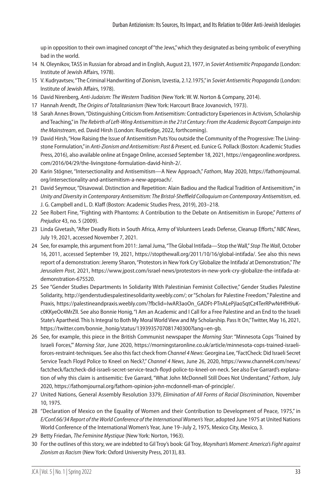up in opposition to their own imagined concept of "the Jews," which they designated as being symbolic of everything bad in the world.

- 14 N. Oleynikov, TASS in Russian for abroad and in English, August 23, 1977, in *Soviet Antisemitic Propaganda* (London: Institute of Jewish Affairs, 1978).
- 15 V. Kudryavtsev, "The Criminal Handwriting of Zionism, Izvestia, 2.12.1975," in *Soviet Antisemitic Propaganda* (London: Institute of Jewish Affairs, 1978).
- 16 David Nirenberg, *Anti-Judaism: The Western Tradition* (New York: W. W. Norton & Company, 2014).
- 17 Hannah Arendt, *The Origins of Totalitarianism* (New York: Harcourt Brace Jovanovich, 1973).
- 18 Sarah Annes Brown, "Distinguishing Criticism from Antisemitism: Contradictory Experiences in Activism, Scholarship and Teaching," in *The Rebirth of Left-Wing Antisemitism in the 21st Century: From the Academic Boycott Campaign into the Mainstream*, ed. David Hirsh (London: Routledge, 2022, forthcoming).
- 19 David Hirsh, "How Raising the Issue of Antisemitism Puts You outside the Community of the Progressive: The Livingstone Formulation," in *Anti-Zionism and Antisemitism: Past & Present*, ed. Eunice G. Pollack (Boston: Academic Studies Press, 2016), also available online at Engage Online, accessed September 18, 2021, [https://engageonline.wordpress.](https://engageonline.wordpress.com/2016/04/29/the-livingstone-formulation-david-hirsh-2/) [com/2016/04/29/the-livingstone-formulation-david-hirsh-2/.](https://engageonline.wordpress.com/2016/04/29/the-livingstone-formulation-david-hirsh-2/)
- 20 Karin Stögner, "Intersectionality and Antisemitism—A New Approach," *Fathom*, May 2020, [https://fathomjournal.](https://fathomjournal.org/intersectionality-and-antisemitism-a-new-approach/) [org/intersectionality-and-antisemitism-a-new-approach/](https://fathomjournal.org/intersectionality-and-antisemitism-a-new-approach/).
- 21 David Seymour, "Disavowal. Distinction and Repetition: Alain Badiou and the Radical Tradition of Antisemitism," in *Unity and Diversity in Contemporary Antisemitism: The Bristol-Sheffield Colloquium on Contemporary Antisemitism*, ed. J. G. Campbell and L. D. Klaff (Boston: Academic Studies Press, 2019), 203–218.
- 22 See Robert Fine, "Fighting with Phantoms: A Contribution to the Debate on Antisemitism in Europe," *Patterns of Prejudice* 43, no. 5 (2009).
- 23 Linda Givetash, "After Deadly Riots in South Africa, Army of Volunteers Leads Defense, Cleanup Efforts," *NBC News*, July 19, 2021, accessed November 7, 2021.
- 24 See, for example, this argument from 2011: Jamal Juma, "The Global Intifada—Stop the Wall," *Stop The Wall*, October 16, 2011, accessed September 19, 2021, [https://stopthewall.org/2011/10/16/global-intifada/.](https://stopthewall.org/2011/10/16/global-intifada/) See also this news report of a demonstration: Jeremy Sharon, "Protestors in New York Cry 'Globalize the Intifada' at Demonstration," *The Jerusalem Post*, 2021, [https://www.jpost.com/israel-news/protestors-in-new-york-cry-globalize-the-intifada-at](https://www.jpost.com/israel-news/protestors-in-new-york-cry-globalize-the-intifada-at-demonstration-675520.%E2%80%8C)[demonstration-675520.](https://www.jpost.com/israel-news/protestors-in-new-york-cry-globalize-the-intifada-at-demonstration-675520.%E2%80%8C)
- 25 See "Gender Studies Departments In Solidarity With Palestinian Feminist Collective," Gender Studies Palestine Solidarity, [http://genderstudiespalestinesolidarity.weebly.com/;](http://genderstudiespalestinesolidarity.weebly.com/) or "Scholars for Palestine Freedom," Palestine and Praxis, [https://palestineandpraxis.weebly.com/?fbclid=IwAR3aoOn\\_GADFt-PTnALePjIaoSqtCz4TerRPwNrHfH9uK](https://palestineandpraxis.weebly.com/?fbclid=IwAR3aoOn_GADFt-PTnALePjIaoSqtCz4TerRPwNrHfH9uKc0KKyeOc4MrZlI)[c0KKyeOc4MrZlI.](https://palestineandpraxis.weebly.com/?fbclid=IwAR3aoOn_GADFt-PTnALePjIaoSqtCz4TerRPwNrHfH9uKc0KKyeOc4MrZlI) See also Bonnie Honig, "I Am an Academic and I Call for a Free Palestine and an End to the Israeli State's Apartheid. This Is Integral to Both My Moral World View and My Scholarship. Pass It On," Twitter, May 16, 2021, https://twitter.com/bonnie\_honig/status/1393935707081740300?lang=en-gb.
- 26 See, for example, this piece in the British Communist newspaper the *Morning Star*: "Minnesota Cops 'Trained by Israeli Forces,'" *Morning Star*, June 2020, [https://morningstaronline.co.uk/article/minnesota-cops-trained-israeli](https://morningstaronline.co.uk/article/minnesota-cops-trained-israeli-forces-restraint-techniques)[forces-restraint-techniques.](https://morningstaronline.co.uk/article/minnesota-cops-trained-israeli-forces-restraint-techniques) See also this fact check from *Channel 4 News*: Georgina Lee, "FactCheck: Did Israeli Secret Service Teach Floyd Police to Kneel on Neck?," *Channel 4 News*, June 26, 2020, [https://www.channel4.com/news/](https://www.channel4.com/news/factcheck/factcheck-did-israeli-secret-service-teach-floyd-police-to-kneel-on-neck) [factcheck/factcheck-did-israeli-secret-service-teach-floyd-police-to-kneel-on-neck](https://www.channel4.com/news/factcheck/factcheck-did-israeli-secret-service-teach-floyd-police-to-kneel-on-neck). See also Eve Garrard's explanation of why this claim is antisemitic: Eve Garrard, "What John McDonnell Still Does Not Understand," *Fathom*, July 2020,<https://fathomjournal.org/fathom-opinion-john-mcdonnell-man-of-principle/>.
- 27 United Nations, General Assembly Resolution 3379, *Elimination of All Forms of Racial Discrimination*, November 10, 1975.
- 28 "Declaration of Mexico on the Equality of Women and their Contribution to Development of Peace, 1975," in *E/Conf.66/34 Report of the World Conference of the International Women's Year*, adopted June 1975 at United Nations World Conference of the International Women's Year, June 19–July 2, 1975, Mexico City, Mexico, 3.
- 29 Betty Friedan, *The Feminine Mystique* (New York: Norton, 1963).
- 30 For the outlines of this story, we are indebted to Gil Troy's book: Gil Troy, *Moynihan's Moment: America's Fight against Zionism as Racism* (New York: Oxford University Press, 2013), 83.